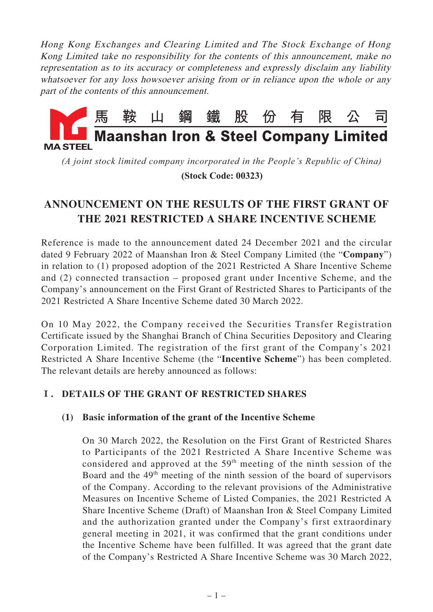Hong Kong Exchanges and Clearing Limited and The Stock Exchange of Hong Kong Limited take no responsibility for the contents of this announcement, make no representation as to its accuracy or completeness and expressly disclaim any liability whatsoever for any loss howsoever arising from or in reliance upon the whole or any part of the contents of this announcement.



*(A joint stock limited company incorporated in the People's Republic of China)*

 **(Stock Code: 00323)**

# **ANNOUNCEMENT ON THE RESULTS OF THE FIRST GRANT OF THE 2021 RESTRICTED A SHARE INCENTIVE SCHEME**

Reference is made to the announcement dated 24 December 2021 and the circular dated 9 February 2022 of Maanshan Iron & Steel Company Limited (the "**Company**") in relation to (1) proposed adoption of the 2021 Restricted A Share Incentive Scheme and (2) connected transaction – proposed grant under Incentive Scheme, and the Company's announcement on the First Grant of Restricted Shares to Participants of the 2021 Restricted A Share Incentive Scheme dated 30 March 2022.

On 10 May 2022, the Company received the Securities Transfer Registration Certificate issued by the Shanghai Branch of China Securities Depository and Clearing Corporation Limited. The registration of the first grant of the Company's 2021 Restricted A Share Incentive Scheme (the "**Incentive Scheme**") has been completed. The relevant details are hereby announced as follows:

# **Ⅰ. DETAILS OF THE GRANT OF RESTRICTED SHARES**

# **(1) Basic information of the grant of the Incentive Scheme**

On 30 March 2022, the Resolution on the First Grant of Restricted Shares to Participants of the 2021 Restricted A Share Incentive Scheme was considered and approved at the  $59<sup>th</sup>$  meeting of the ninth session of the Board and the  $49<sup>th</sup>$  meeting of the ninth session of the board of supervisors of the Company. According to the relevant provisions of the Administrative Measures on Incentive Scheme of Listed Companies, the 2021 Restricted A Share Incentive Scheme (Draft) of Maanshan Iron & Steel Company Limited and the authorization granted under the Company's first extraordinary general meeting in 2021, it was confirmed that the grant conditions under the Incentive Scheme have been fulfilled. It was agreed that the grant date of the Company's Restricted A Share Incentive Scheme was 30 March 2022,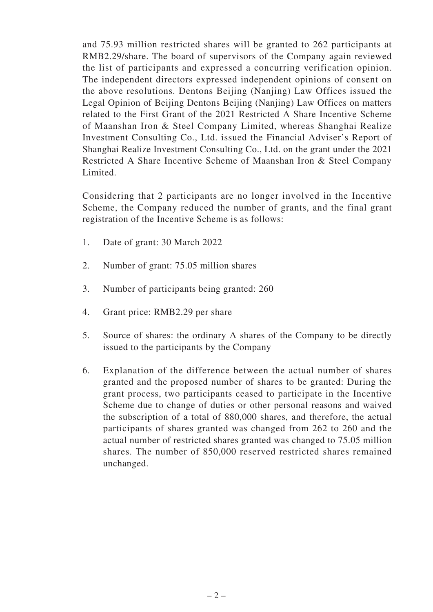and 75.93 million restricted shares will be granted to 262 participants at RMB2.29/share. The board of supervisors of the Company again reviewed the list of participants and expressed a concurring verification opinion. The independent directors expressed independent opinions of consent on the above resolutions. Dentons Beijing (Nanjing) Law Offices issued the Legal Opinion of Beijing Dentons Beijing (Nanjing) Law Offices on matters related to the First Grant of the 2021 Restricted A Share Incentive Scheme of Maanshan Iron & Steel Company Limited, whereas Shanghai Realize Investment Consulting Co., Ltd. issued the Financial Adviser's Report of Shanghai Realize Investment Consulting Co., Ltd. on the grant under the 2021 Restricted A Share Incentive Scheme of Maanshan Iron & Steel Company Limited.

Considering that 2 participants are no longer involved in the Incentive Scheme, the Company reduced the number of grants, and the final grant registration of the Incentive Scheme is as follows:

- 1. Date of grant: 30 March 2022
- 2. Number of grant: 75.05 million shares
- 3. Number of participants being granted: 260
- 4. Grant price: RMB2.29 per share
- 5. Source of shares: the ordinary A shares of the Company to be directly issued to the participants by the Company
- 6. Explanation of the difference between the actual number of shares granted and the proposed number of shares to be granted: During the grant process, two participants ceased to participate in the Incentive Scheme due to change of duties or other personal reasons and waived the subscription of a total of 880,000 shares, and therefore, the actual participants of shares granted was changed from 262 to 260 and the actual number of restricted shares granted was changed to 75.05 million shares. The number of 850,000 reserved restricted shares remained unchanged.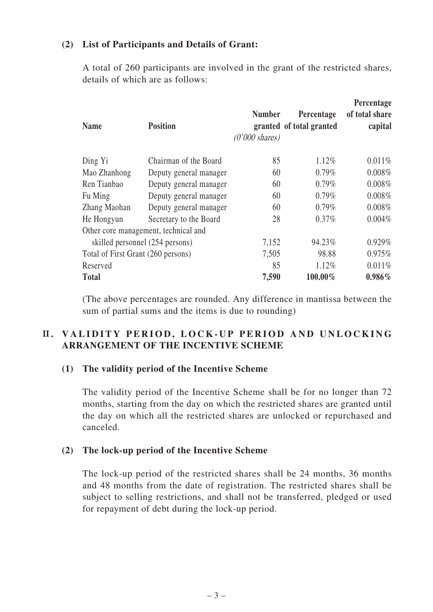### **(2) List of Participants and Details of Grant:**

A total of 260 participants are involved in the grant of the restricted shares, details of which are as follows:

| <b>Name</b>                        | <b>Position</b>                      | <b>Number</b><br>$(0'000 \text{ shares})$ | Percentage<br>granted of total granted | Percentage<br>of total share<br>capital |
|------------------------------------|--------------------------------------|-------------------------------------------|----------------------------------------|-----------------------------------------|
| Ding Yi                            | Chairman of the Board                | 85                                        | 1.12%                                  | 0.011%                                  |
| Mao Zhanhong                       | Deputy general manager               | 60                                        | $0.79\%$                               | 0.008%                                  |
| Ren Tianbao                        | Deputy general manager               | 60                                        | 0.79%                                  | 0.008%                                  |
| Fu Ming                            | Deputy general manager               | 60                                        | 0.79%                                  | 0.008%                                  |
| Zhang Maohan                       | Deputy general manager               | 60                                        | 0.79%                                  | 0.008%                                  |
| He Hongyun                         | Secretary to the Board               | 28                                        | $0.37\%$                               | $0.004\%$                               |
|                                    | Other core management, technical and |                                           |                                        |                                         |
| skilled personnel (254 persons)    |                                      | 7,152                                     | 94.23%                                 | 0.929%                                  |
| Total of First Grant (260 persons) |                                      | 7,505                                     | 98.88                                  | 0.975%                                  |
| Reserved                           |                                      | 85                                        | 1.12%                                  | 0.011%                                  |
| <b>Total</b>                       |                                      | 7,590                                     | $100.00\%$                             | $0.986\%$                               |

(The above percentages are rounded. Any difference in mantissa between the sum of partial sums and the items is due to rounding)

# **II. VALIDITY PERIOD, LOCK-UP PERIOD AND UNLOCKING ARRANGEMENT OF THE INCENTIVE SCHEME**

#### **(1) The validity period of the Incentive Scheme**

The validity period of the Incentive Scheme shall be for no longer than 72 months, starting from the day on which the restricted shares are granted until the day on which all the restricted shares are unlocked or repurchased and canceled.

#### **(2) The lock-up period of the Incentive Scheme**

The lock-up period of the restricted shares shall be 24 months, 36 months and 48 months from the date of registration. The restricted shares shall be subject to selling restrictions, and shall not be transferred, pledged or used for repayment of debt during the lock-up period.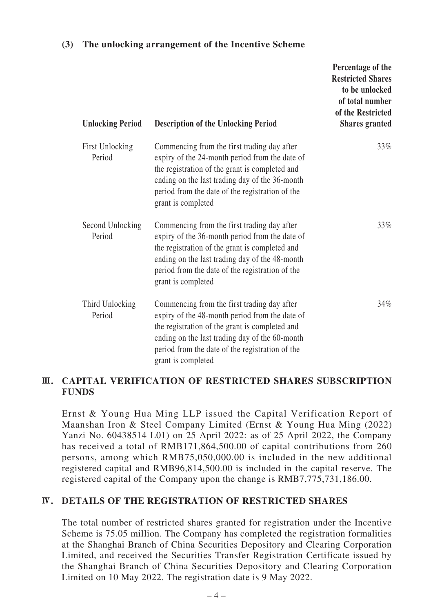#### **(3) The unlocking arrangement of the Incentive Scheme**

| <b>Unlocking Period</b>          | <b>Description of the Unlocking Period</b>                                                                                                                                                                                                                                 | Percentage of the<br><b>Restricted Shares</b><br>to be unlocked<br>of total number<br>of the Restricted<br><b>Shares</b> granted |
|----------------------------------|----------------------------------------------------------------------------------------------------------------------------------------------------------------------------------------------------------------------------------------------------------------------------|----------------------------------------------------------------------------------------------------------------------------------|
| <b>First Unlocking</b><br>Period | Commencing from the first trading day after<br>expiry of the 24-month period from the date of<br>the registration of the grant is completed and<br>ending on the last trading day of the 36-month<br>period from the date of the registration of the<br>grant is completed | 33%                                                                                                                              |
| Second Unlocking<br>Period       | Commencing from the first trading day after<br>expiry of the 36-month period from the date of<br>the registration of the grant is completed and<br>ending on the last trading day of the 48-month<br>period from the date of the registration of the<br>grant is completed | 33%                                                                                                                              |
| Third Unlocking<br>Period        | Commencing from the first trading day after<br>expiry of the 48-month period from the date of<br>the registration of the grant is completed and<br>ending on the last trading day of the 60-month<br>period from the date of the registration of the<br>grant is completed | 34%                                                                                                                              |

#### **Ⅲ. CAPITAL VERIFICATION OF RESTRICTED SHARES SUBSCRIPTION FUNDS**

Ernst & Young Hua Ming LLP issued the Capital Verification Report of Maanshan Iron & Steel Company Limited (Ernst & Young Hua Ming (2022) Yanzi No. 60438514 L01) on 25 April 2022: as of 25 April 2022, the Company has received a total of RMB171,864,500.00 of capital contributions from 260 persons, among which RMB75,050,000.00 is included in the new additional registered capital and RMB96,814,500.00 is included in the capital reserve. The registered capital of the Company upon the change is RMB7,775,731,186.00.

#### **Ⅳ. DETAILS OF THE REGISTRATION OF RESTRICTED SHARES**

The total number of restricted shares granted for registration under the Incentive Scheme is 75.05 million. The Company has completed the registration formalities at the Shanghai Branch of China Securities Depository and Clearing Corporation Limited, and received the Securities Transfer Registration Certificate issued by the Shanghai Branch of China Securities Depository and Clearing Corporation Limited on 10 May 2022. The registration date is 9 May 2022.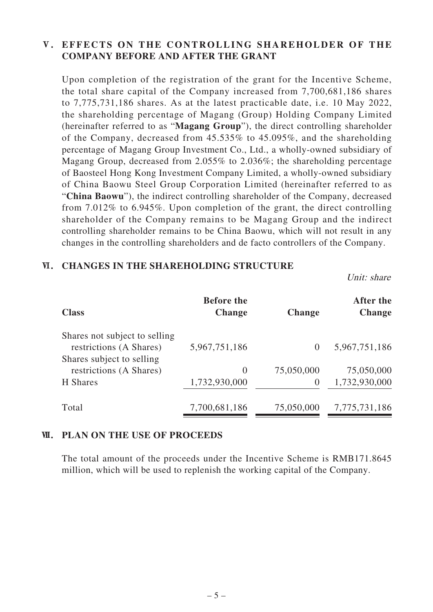# **Ⅴ. EFFECTS ON THE CONTROLLING SHAREHOLDER OF THE COMPANY BEFORE AND AFTER THE GRANT**

Upon completion of the registration of the grant for the Incentive Scheme, the total share capital of the Company increased from 7,700,681,186 shares to 7,775,731,186 shares. As at the latest practicable date, i.e. 10 May 2022, the shareholding percentage of Magang (Group) Holding Company Limited (hereinafter referred to as "**Magang Group**"), the direct controlling shareholder of the Company, decreased from 45.535% to 45.095%, and the shareholding percentage of Magang Group Investment Co., Ltd., a wholly-owned subsidiary of Magang Group, decreased from 2.055% to 2.036%; the shareholding percentage of Baosteel Hong Kong Investment Company Limited, a wholly-owned subsidiary of China Baowu Steel Group Corporation Limited (hereinafter referred to as "**China Baowu**"), the indirect controlling shareholder of the Company, decreased from 7.012% to 6.945%. Upon completion of the grant, the direct controlling shareholder of the Company remains to be Magang Group and the indirect controlling shareholder remains to be China Baowu, which will not result in any changes in the controlling shareholders and de facto controllers of the Company.

#### **Ⅵ. CHANGES IN THE SHAREHOLDING STRUCTURE**

Unit: share

| <b>Class</b>                                             | <b>Before the</b><br><b>Change</b> | <b>Change</b> | After the<br><b>Change</b> |
|----------------------------------------------------------|------------------------------------|---------------|----------------------------|
| Shares not subject to selling<br>restrictions (A Shares) | 5,967,751,186                      | $\theta$      | 5,967,751,186              |
| Shares subject to selling<br>restrictions (A Shares)     | $\theta$                           | 75,050,000    | 75,050,000                 |
| H Shares                                                 | 1,732,930,000                      | $\theta$      | 1,732,930,000              |
| Total                                                    | 7,700,681,186                      | 75,050,000    | 7,775,731,186              |

#### **Ⅶ. PLAN ON THE USE OF PROCEEDS**

The total amount of the proceeds under the Incentive Scheme is RMB171.8645 million, which will be used to replenish the working capital of the Company.